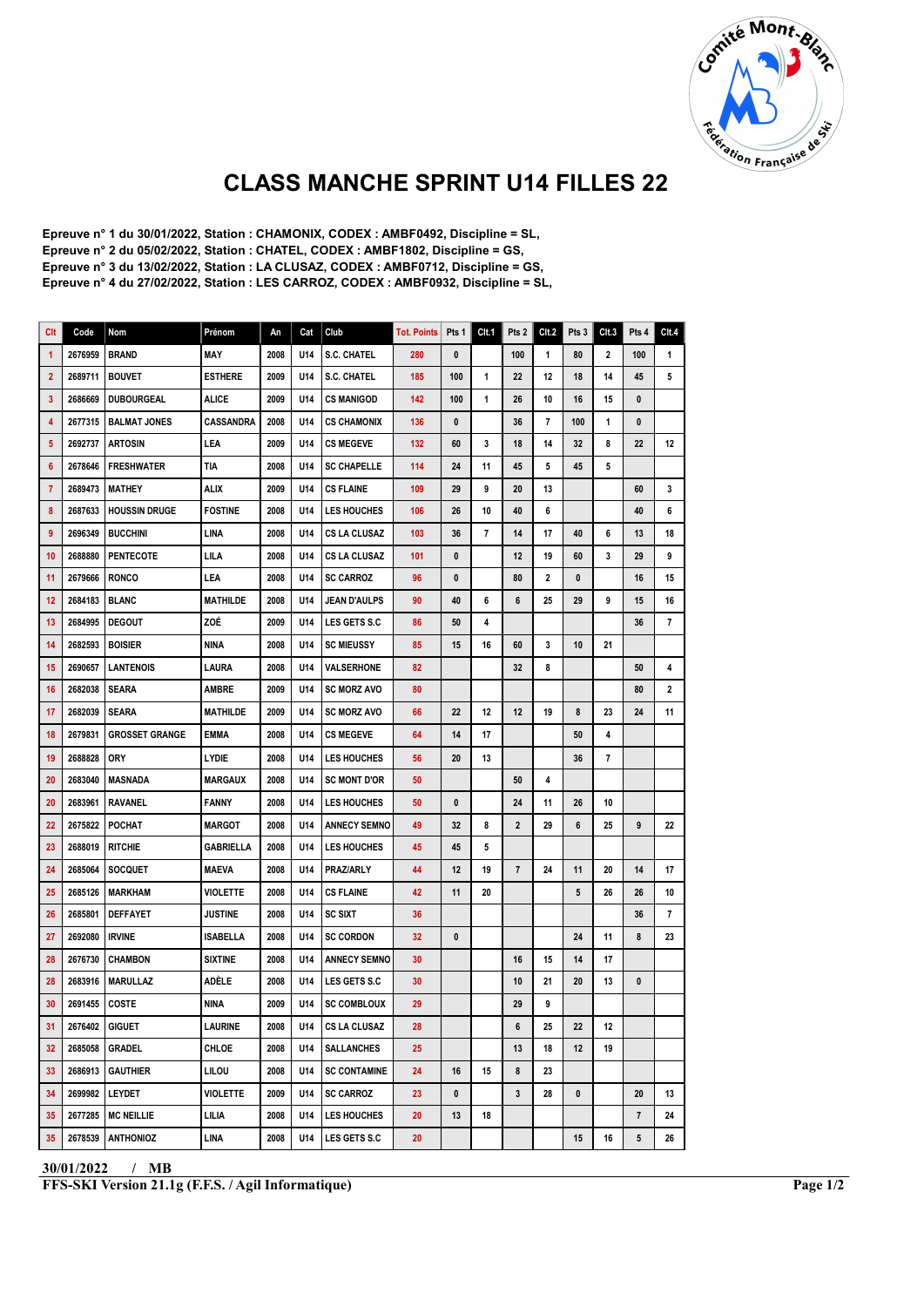

## CLASS MANCHE SPRINT U14 FILLES 22

Epreuve n° 1 du 30/01/2022, Station : CHAMONIX, CODEX : AMBF0492, Discipline = SL, Epreuve n° 2 du 05/02/2022, Station : CHATEL, CODEX : AMBF1802, Discipline = GS, Epreuve n° 3 du 13/02/2022, Station : LA CLUSAZ, CODEX : AMBF0712, Discipline = GS, Epreuve n° 4 du 27/02/2022, Station : LES CARROZ, CODEX : AMBF0932, Discipline = SL,

| Clt          | Code           | Nom                   | Prénom           | An   | Cat | Club                | <b>Tot. Points</b> | Pts 1        | Clt.1 | Pts 2             | CIt.2 | Pts 3 | Clt.3        | Pts 4        | Clt.4          |
|--------------|----------------|-----------------------|------------------|------|-----|---------------------|--------------------|--------------|-------|-------------------|-------|-------|--------------|--------------|----------------|
| 1            | 2676959        | <b>BRAND</b>          | MAY              | 2008 | U14 | <b>S.C. CHATEL</b>  | 280                | 0            |       | 100               | 1     | 80    | $\mathbf{2}$ | 100          | 1              |
| $\mathbf{2}$ | 2689711        | <b>BOUVET</b>         | <b>ESTHERE</b>   | 2009 | U14 | <b>S.C. CHATEL</b>  | 185                | 100          | 1     | 22                | 12    | 18    | 14           | 45           | 5              |
| 3            | 2686669        | <b>DUBOURGEAL</b>     | ALICE            | 2009 | U14 | <b>CS MANIGOD</b>   | 142                | 100          | 1     | 26                | 10    | 16    | 15           | $\mathbf{0}$ |                |
| 4            | 2677315        | <b>BALMAT JONES</b>   | <b>CASSANDRA</b> | 2008 | U14 | <b>CS CHAMONIX</b>  | 136                | 0            |       | 36                | 7     | 100   | 1            | 0            |                |
| 5            | 2692737        | <b>ARTOSIN</b>        | LEA              | 2009 | U14 | <b>CS MEGEVE</b>    | 132                | 60           | 3     | 18                | 14    | 32    | 8            | 22           | 12             |
| 6            | 2678646        | FRESHWATER            | TIA              | 2008 | U14 | <b>SC CHAPELLE</b>  | 114                | 24           | 11    | 45                | 5     | 45    | 5            |              |                |
| 7            | 2689473        | MATHEY                | ALIX             | 2009 | U14 | <b>CS FLAINE</b>    | 109                | 29           | 9     | 20                | 13    |       |              | 60           | 3              |
| 8            | 2687633        | <b>HOUSSIN DRUGE</b>  | <b>FOSTINE</b>   | 2008 | U14 | <b>LES HOUCHES</b>  | 106                | 26           | 10    | 40                | 6     |       |              | 40           | 6              |
| 9            | 2696349        | <b>BUCCHINI</b>       | LINA             | 2008 | U14 | <b>CS LA CLUSAZ</b> | 103                | 36           | 7     | 14                | 17    | 40    | 6            | 13           | 18             |
| 10           | 2688880        | <b>PENTECOTE</b>      | LILA             | 2008 | U14 | CS LA CLUSAZ        | 101                | 0            |       | 12                | 19    | 60    | 3            | 29           | 9              |
| 11           | 2679666        | <b>RONCO</b>          | LEA              | 2008 | U14 | <b>SC CARROZ</b>    | 96                 | $\mathbf{0}$ |       | 80                | 2     | 0     |              | 16           | 15             |
| 12           | 2684183        | BLANC                 | MATHILDE         | 2008 | U14 | JEAN D'AULPS        | 90                 | 40           | 6     | 6                 | 25    | 29    | 9            | 15           | 16             |
| 13           | 2684995        | <b>DEGOUT</b>         | ZOÉ              | 2009 | U14 | <b>LES GETS S.C</b> | 86                 | 50           | 4     |                   |       |       |              | 36           | 7              |
| 14           | 2682593        | <b>BOISIER</b>        | <b>NINA</b>      | 2008 | U14 | <b>SC MIEUSSY</b>   | 85                 | 15           | 16    | 60                | 3     | 10    | 21           |              |                |
| 15           | 2690657        | <b>LANTENOIS</b>      | LAURA            | 2008 | U14 | VALSERHONE          | 82                 |              |       | 32                | 8     |       |              | 50           | 4              |
| 16           | 2682038        | <b>SEARA</b>          | AMBRE            | 2009 | U14 | <b>SC MORZ AVO</b>  | 80                 |              |       |                   |       |       |              | 80           | 2              |
| 17           | 2682039        | <b>SEARA</b>          | MATHILDE         | 2009 | U14 | <b>SC MORZ AVO</b>  | 66                 | 22           | 12    | $12 \overline{ }$ | 19    | 8     | 23           | 24           | 11             |
| 18           | 2679831        | <b>GROSSET GRANGE</b> | <b>EMMA</b>      | 2008 | U14 | <b>CS MEGEVE</b>    | 64                 | 14           | 17    |                   |       | 50    | 4            |              |                |
| 19           | 2688828        | <b>ORY</b>            | LYDIE            | 2008 | U14 | <b>LES HOUCHES</b>  | 56                 | 20           | 13    |                   |       | 36    | 7            |              |                |
| 20           | 2683040        | <b>MASNADA</b>        | <b>MARGAUX</b>   | 2008 | U14 | <b>SC MONT D'OR</b> | 50                 |              |       | 50                | 4     |       |              |              |                |
| 20           | 2683961        | <b>RAVANEL</b>        | FANNY            | 2008 | U14 | <b>LES HOUCHES</b>  | 50                 | 0            |       | 24                | 11    | 26    | 10           |              |                |
| 22           | 2675822        | POCHAT                | MARGOT           | 2008 | U14 | <b>ANNECY SEMNO</b> | 49                 | 32           | 8     | $\mathbf{2}$      | 29    | 6     | 25           | 9            | 22             |
| 23           | 2688019        | <b>RITCHIE</b>        | <b>GABRIELLA</b> | 2008 | U14 | <b>LES HOUCHES</b>  | 45                 | 45           | 5     |                   |       |       |              |              |                |
| 24           | 2685064        | <b>SOCQUET</b>        | MAEVA            | 2008 | U14 | PRAZ/ARLY           | 44                 | 12           | 19    | $\overline{7}$    | 24    | 11    | 20           | 14           | 17             |
| 25           | 2685126        | MARKHAM               | <b>VIOLETTE</b>  | 2008 | U14 | <b>CS FLAINE</b>    | 42                 | 11           | 20    |                   |       | 5     | 26           | 26           | 10             |
| 26           | 2685801        | <b>DEFFAYET</b>       | <b>JUSTINE</b>   | 2008 | U14 | SC SIXT             | 36                 |              |       |                   |       |       |              | 36           | $\overline{7}$ |
| 27           | 2692080        | <b>IRVINE</b>         | ISABELLA         | 2008 | U14 | <b>SC CORDON</b>    | 32                 | 0            |       |                   |       | 24    | 11           | 8            | 23             |
| 28           | 2676730        | <b>CHAMBON</b>        | <b>SIXTINE</b>   | 2008 | U14 | <b>ANNECY SEMNO</b> | 30                 |              |       | 16                | 15    | 14    | 17           |              |                |
| 28           | 2683916        | <b>MARULLAZ</b>       | ADÈLE            | 2008 | U14 | <b>LES GETS S.C</b> | 30                 |              |       | 10                | 21    | 20    | 13           | 0            |                |
| 30           | 2691455        | <b>COSTE</b>          | <b>NINA</b>      | 2009 | U14 | <b>SC COMBLOUX</b>  | 29                 |              |       | 29                | 9     |       |              |              |                |
| 31           | 2676402 GIGUET |                       | LAURINE          | 2008 | U14 | <b>CS LA CLUSAZ</b> | 28                 |              |       | 6                 | 25    | 22    | 12           |              |                |
| 32           | 2685058        | <b>GRADEL</b>         | CHLOE            | 2008 | U14 | <b>SALLANCHES</b>   | 25                 |              |       | 13                | 18    | 12    | 19           |              |                |
| 33           |                | 2686913   GAUTHIER    | LILOU            | 2008 | U14 | <b>SC CONTAMINE</b> | 24                 | 16           | 15    | 8                 | 23    |       |              |              |                |
| 34           | 2699982 LEYDET |                       | <b>VIOLETTE</b>  | 2009 | U14 | <b>SC CARROZ</b>    | 23                 | 0            |       | 3                 | 28    | 0     |              | 20           | 13             |
| 35           | 2677285        | <b>MC NEILLIE</b>     | LILIA            | 2008 | U14 | <b>LES HOUCHES</b>  | 20                 | 13           | 18    |                   |       |       |              | 7            | 24             |
| 35           | 2678539        | <b>ANTHONIOZ</b>      | LINA             | 2008 | U14 | <b>LES GETS S.C</b> | 20                 |              |       |                   |       | 15    | 16           | 5            | 26             |

30/01/2022 / MB FFS-SKI Version 21.1g (F.F.S. / Agil Informatique) Page 1/2